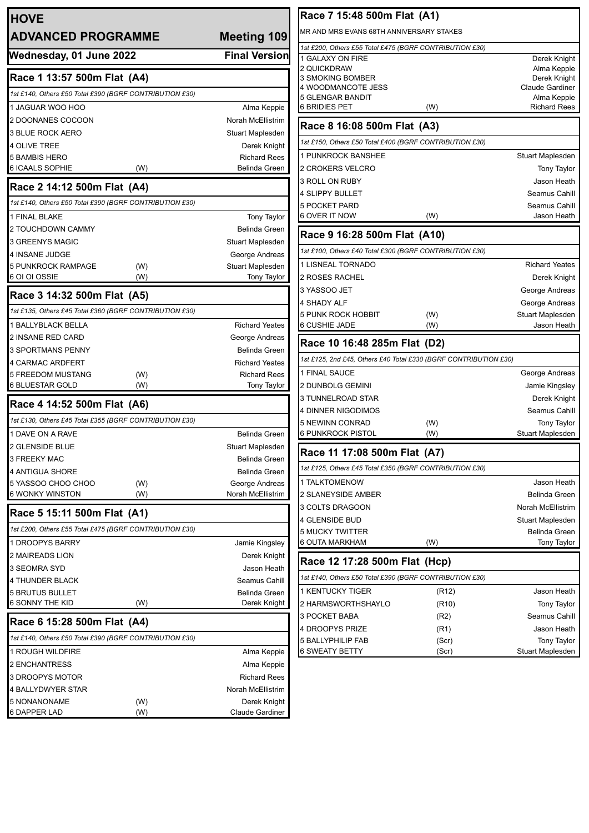| <b>HOVE</b>                                             |                                                                                        |
|---------------------------------------------------------|----------------------------------------------------------------------------------------|
| <b>ADVANCED PROGRAMME</b>                               | <b>Meeting 109</b>                                                                     |
| Wednesday, 01 June 2022                                 | <b>Final Version</b>                                                                   |
| Race 1 13:57 500m Flat (A4)                             |                                                                                        |
| 1st £140, Others £50 Total £390 (BGRF CONTRIBUTION £30) |                                                                                        |
| 1 JAGUAR WOO HOO                                        | Alma Keppie                                                                            |
| 2 DOONANES COCOON                                       | Norah McEllistrim                                                                      |
| <b>3 BLUE ROCK AERO</b>                                 | Stuart Maplesden                                                                       |
| <b>4 OLIVE TREE</b>                                     | Derek Knight                                                                           |
| <b>5 BAMBIS HERO</b>                                    | <b>Richard Rees</b>                                                                    |
| 6 ICAALS SOPHIE<br>(W)                                  | Belinda Green                                                                          |
| Race 2 14:12 500m Flat (A4)                             |                                                                                        |
| 1st £140, Others £50 Total £390 (BGRF CONTRIBUTION £30) |                                                                                        |
| 1 FINAL BLAKE                                           | <b>Tony Taylor</b>                                                                     |
| 2 TOUCHDOWN CAMMY                                       | Belinda Green                                                                          |
| <b>3 GREENYS MAGIC</b>                                  | Stuart Maplesden                                                                       |
| 4 INSANE JUDGE                                          | George Andreas                                                                         |
| 5 PUNKROCK RAMPAGE<br>(W)                               | Stuart Maplesden                                                                       |
| 6 OI OI OSSIE<br>(W)                                    | <b>Tony Taylor</b>                                                                     |
| Race 3 14:32 500m Flat (A5)                             |                                                                                        |
| 1st £135, Others £45 Total £360 (BGRF CONTRIBUTION £30) |                                                                                        |
| <b>1 BALLYBLACK BELLA</b>                               | <b>Richard Yeates</b>                                                                  |
| 2 INSANE RED CARD                                       | George Andreas                                                                         |
| 3 SPORTMANS PENNY                                       | <b>Belinda Green</b>                                                                   |
| 4 CARMAC ARDFERT                                        | <b>Richard Yeates</b>                                                                  |
| 5 FREEDOM MUSTANG<br>(W)<br>6 BLUESTAR GOLD<br>(W)      | <b>Richard Rees</b><br>Tony Taylor                                                     |
| Race 4 14:52 500m Flat (A6)                             |                                                                                        |
| 1st £130, Others £45 Total £355 (BGRF CONTRIBUTION £30) |                                                                                        |
| 1 DAVE ON A RAVE                                        | Belinda Green                                                                          |
| 2 GLENSIDE BLUE                                         | Stuart Maplesden                                                                       |
| 3 FREEKY MAC                                            | Belinda Green                                                                          |
| 4 ANTIGUA SHORE                                         | Belinda Green                                                                          |
| 5 YASSOO CHOO CHOO<br>(W)                               | George Andreas                                                                         |
| <b>6 WONKY WINSTON</b><br>(W)                           | Norah McEllistrim                                                                      |
| Race 5 15:11 500m Flat (A1)                             |                                                                                        |
| 1st £200, Others £55 Total £475 (BGRF CONTRIBUTION £30) |                                                                                        |
| 1 DROOPYS BARRY                                         | Jamie Kingsley                                                                         |
| <b>2 MAIREADS LION</b>                                  | Derek Knight                                                                           |
| 3 SEOMRA SYD                                            | Jason Heath                                                                            |
| <b>4 THUNDER BLACK</b>                                  | Seamus Cahill                                                                          |
| <b>5 BRUTUS BULLET</b>                                  | <b>Belinda Green</b>                                                                   |
| 6 SONNY THE KID<br>(W)                                  | Derek Knight                                                                           |
|                                                         |                                                                                        |
| Race 6 15:28 500m Flat (A4)                             |                                                                                        |
| 1st £140, Others £50 Total £390 (BGRF CONTRIBUTION £30) |                                                                                        |
| 1 ROUGH WILDFIRE                                        |                                                                                        |
| <b>2 ENCHANTRESS</b>                                    |                                                                                        |
| 3 DROOPYS MOTOR                                         |                                                                                        |
| 4 BALLYDWYER STAR<br>5 NONANONAME<br>(W)                | Alma Keppie<br>Alma Keppie<br><b>Richard Rees</b><br>Norah McEllistrim<br>Derek Knight |

| Race 7 15:48 500m Flat (A1)                                                                         |                               |                                        |  |  |  |
|-----------------------------------------------------------------------------------------------------|-------------------------------|----------------------------------------|--|--|--|
| MR AND MRS EVANS 68TH ANNIVERSARY STAKES<br>1st £200, Others £55 Total £475 (BGRF CONTRIBUTION £30) |                               |                                        |  |  |  |
|                                                                                                     |                               |                                        |  |  |  |
| 2 QUICKDRAW                                                                                         |                               | Alma Keppie                            |  |  |  |
| 3 SMOKING BOMBER<br>4 WOODMANCOTE JESS                                                              |                               | Derek Knight<br><b>Claude Gardiner</b> |  |  |  |
| 5 GLENGAR BANDIT                                                                                    |                               | Alma Keppie                            |  |  |  |
| 6 BRIDIES PET                                                                                       | (W)                           | <b>Richard Rees</b>                    |  |  |  |
| Race 8 16:08 500m Flat (A3)                                                                         |                               |                                        |  |  |  |
| 1st £150, Others £50 Total £400 (BGRF CONTRIBUTION £30)                                             |                               |                                        |  |  |  |
| 1 PUNKROCK BANSHEE                                                                                  |                               | Stuart Maplesden                       |  |  |  |
| 2 CROKERS VELCRO                                                                                    |                               | <b>Tony Taylor</b>                     |  |  |  |
| 3 ROLL ON RUBY                                                                                      |                               | Jason Heath                            |  |  |  |
| 4 SLIPPY BULLET                                                                                     |                               | Seamus Cahill                          |  |  |  |
| 5 POCKET PARD                                                                                       |                               | Seamus Cahill                          |  |  |  |
| 6 OVER IT NOW                                                                                       | (W)                           | Jason Heath                            |  |  |  |
| Race 9 16:28 500m Flat (A10)                                                                        |                               |                                        |  |  |  |
| 1st £100, Others £40 Total £300 (BGRF CONTRIBUTION £30)                                             |                               |                                        |  |  |  |
| <b>1 LISNEAL TORNADO</b>                                                                            |                               | <b>Richard Yeates</b>                  |  |  |  |
| 2 ROSES RACHEL                                                                                      |                               | Derek Knight                           |  |  |  |
| 3 YASSOO JET                                                                                        |                               | George Andreas                         |  |  |  |
| 4 SHADY ALF                                                                                         |                               | George Andreas                         |  |  |  |
| 5 PUNK ROCK HOBBIT                                                                                  | (W)                           | Stuart Maplesden                       |  |  |  |
| 6 CUSHIE JADE                                                                                       | (W)                           | Jason Heath                            |  |  |  |
| Race 10 16:48 285m Flat (D2)                                                                        |                               |                                        |  |  |  |
| 1st £125, 2nd £45, Others £40 Total £330 (BGRF CONTRIBUTION £30)                                    |                               |                                        |  |  |  |
| 1 FINAL SAUCE                                                                                       |                               | George Andreas                         |  |  |  |
| 2 DUNBOLG GEMINI                                                                                    |                               | Jamie Kingsley                         |  |  |  |
| 3 TUNNELROAD STAR                                                                                   |                               | Derek Knight                           |  |  |  |
| 4 DINNER NIGODIMOS                                                                                  |                               | Seamus Cahill                          |  |  |  |
| 5 NEWINN CONRAD                                                                                     | (W)                           | <b>Tony Taylor</b>                     |  |  |  |
| 6 PUNKROCK PISTOL                                                                                   | (W)                           | Stuart Maplesden                       |  |  |  |
| Race 11 17:08 500m Flat (A7)                                                                        |                               |                                        |  |  |  |
| 1st £125, Others £45 Total £350 (BGRF CONTRIBUTION £30)                                             |                               |                                        |  |  |  |
| 1 TALKTOMENOW                                                                                       |                               | Jason Heath                            |  |  |  |
| <b>2 SLANEYSIDE AMBER</b>                                                                           |                               | <b>Belinda Green</b>                   |  |  |  |
| 3 COLTS DRAGOON                                                                                     |                               | Norah McEllistrim                      |  |  |  |
| 4 GLENSIDE BUD                                                                                      |                               | Stuart Maplesden                       |  |  |  |
| 5 MUCKY TWITTER                                                                                     |                               | Belinda Green                          |  |  |  |
| 6 OUTA MARKHAM                                                                                      | (W)                           | <b>Tony Taylor</b>                     |  |  |  |
|                                                                                                     | Race 12 17:28 500m Flat (Hcp) |                                        |  |  |  |
| 1st £140, Others £50 Total £390 (BGRF CONTRIBUTION £30)                                             |                               |                                        |  |  |  |
| 1 KENTUCKY TIGER                                                                                    | (R12)                         | Jason Heath                            |  |  |  |
| 2 HARMSWORTHSHAYLO                                                                                  | (R <sub>10</sub> )            | Tony Taylor                            |  |  |  |
| 3 POCKET BABA                                                                                       | (R2)                          | Seamus Cahill                          |  |  |  |
| 4 DROOPYS PRIZE                                                                                     | (R1)                          | Jason Heath                            |  |  |  |
| 5 BALLYPHILIP FAB                                                                                   | (Scr)                         | <b>Tony Taylor</b>                     |  |  |  |
| 6 SWEATY BETTY                                                                                      | (Scr)                         | Stuart Maplesden                       |  |  |  |
|                                                                                                     |                               |                                        |  |  |  |